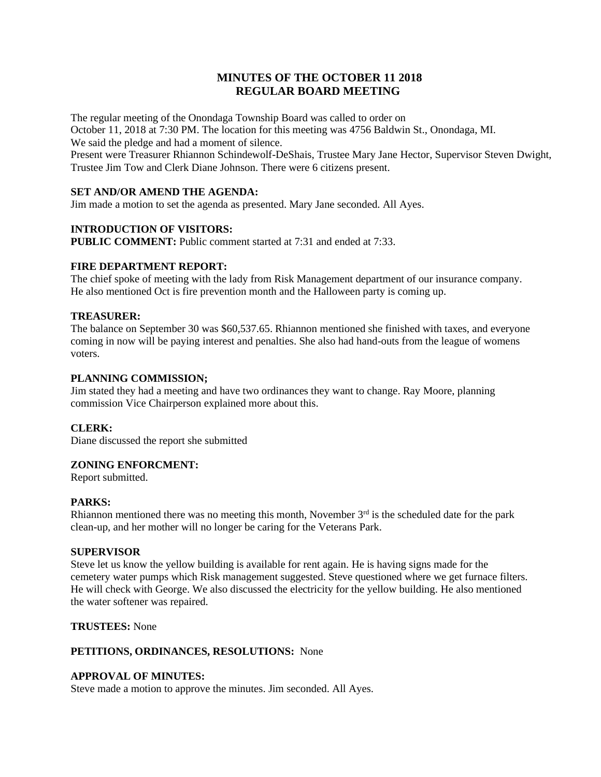# **MINUTES OF THE OCTOBER 11 2018 REGULAR BOARD MEETING**

The regular meeting of the Onondaga Township Board was called to order on October 11, 2018 at 7:30 PM. The location for this meeting was 4756 Baldwin St., Onondaga, MI. We said the pledge and had a moment of silence.

Present were Treasurer Rhiannon Schindewolf-DeShais, Trustee Mary Jane Hector, Supervisor Steven Dwight, Trustee Jim Tow and Clerk Diane Johnson. There were 6 citizens present.

# **SET AND/OR AMEND THE AGENDA:**

Jim made a motion to set the agenda as presented. Mary Jane seconded. All Ayes.

## **INTRODUCTION OF VISITORS:**

**PUBLIC COMMENT:** Public comment started at 7:31 and ended at 7:33.

# **FIRE DEPARTMENT REPORT:**

The chief spoke of meeting with the lady from Risk Management department of our insurance company. He also mentioned Oct is fire prevention month and the Halloween party is coming up.

## **TREASURER:**

The balance on September 30 was \$60,537.65. Rhiannon mentioned she finished with taxes, and everyone coming in now will be paying interest and penalties. She also had hand-outs from the league of womens voters.

## **PLANNING COMMISSION;**

Jim stated they had a meeting and have two ordinances they want to change. Ray Moore, planning commission Vice Chairperson explained more about this.

## **CLERK:**

Diane discussed the report she submitted

## **ZONING ENFORCMENT:**

Report submitted.

#### **PARKS:**

Rhiannon mentioned there was no meeting this month, November  $3<sup>rd</sup>$  is the scheduled date for the park clean-up, and her mother will no longer be caring for the Veterans Park.

#### **SUPERVISOR**

Steve let us know the yellow building is available for rent again. He is having signs made for the cemetery water pumps which Risk management suggested. Steve questioned where we get furnace filters. He will check with George. We also discussed the electricity for the yellow building. He also mentioned the water softener was repaired.

### **TRUSTEES:** None

## **PETITIONS, ORDINANCES, RESOLUTIONS:** None

#### **APPROVAL OF MINUTES:**

Steve made a motion to approve the minutes. Jim seconded. All Ayes.